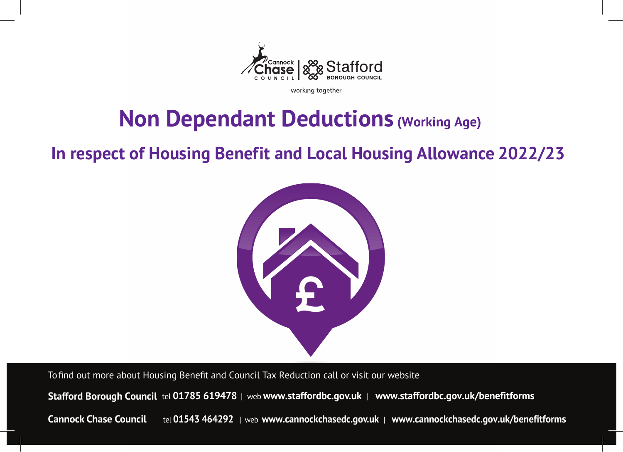

working together

# **Non Dependant Deductions (Working Age)**

# **In respect of Housing Benefit and Local Housing Allowance 2022/23**



Tofind out more about Housing Benefit and Council Tax Reduction call or visit our website

 **Stafford Borough Council** tel **01785 619478** | web **<www.staffordbc.gov.uk>**| **<www.staffordbc.gov.uk/benefitforms>**

**Cannock Chase Council** tel **01543 464292** | web **<www.cannockchasedc.gov.uk>** | **<www.cannockchasedc.gov.uk/benefitforms>**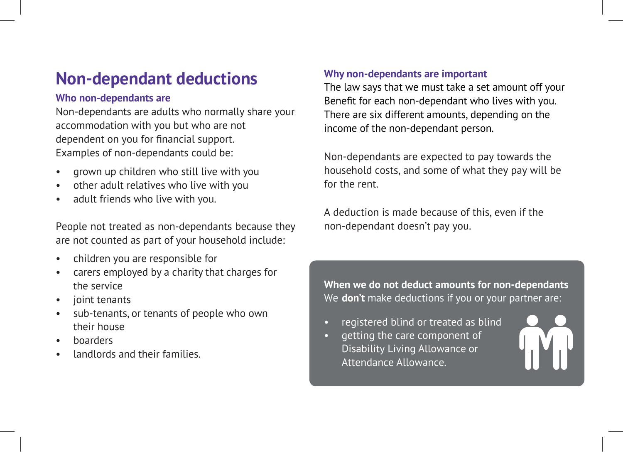## **Non-dependant deductions**

#### **Who non-dependants are**

Non-dependants are adults who normally share your accommodation with you but who are not dependent on you for financial support. Examples of non-dependants could be:

- grown up children who still live with you
- other adult relatives who live with you
- adult friends who live with you.

People not treated as non-dependants because they are not counted as part of your household include:

- children you are responsible for
- carers employed by a charity that charges for the service
- joint tenants
- sub-tenants, or tenants of people who own their house
- boarders
- landlords and their families.

### **Why non-dependants are important**

The law says that we must take a set amount off your Benefit for each non-dependant who lives with you. There are six different amounts, depending on the income of the non-dependant person.

Non-dependants are expected to pay towards the household costs, and some of what they pay will be for the rent.

A deduction is made because of this, even if the non-dependant doesn't pay you.

**When we do not deduct amounts for non-dependants** We **don't** make deductions if you or your partner are:

- registered blind or treated as blind
- getting the care component of Disability Living Allowance or Attendance Allowance.

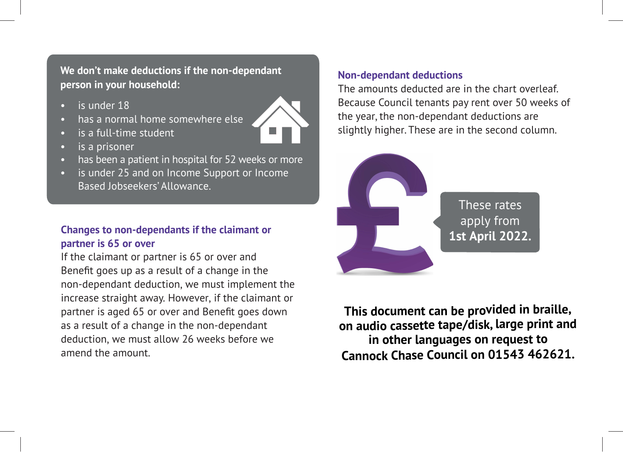### **We don't make deductions if the non-dependant person in your household:**

- is under 18
- has a normal home somewhere else
- is a full-time student
- is a prisoner
- has been a patient in hospital for 52 weeks or more
- is under 25 and on Income Support or Income Based Jobseekers' Allowance.

### **Changes to non-dependants if the claimant or partner is 65 or over**

If the claimant or partner is 65 or over and Benefit goes up as a result of a change in the non-dependant deduction, we must implement the increase straight away. However, if the claimant or partner is aged 65 or over and Benefit goes down as a result of a change in the non-dependant deduction, we must allow 26 weeks before we amend the amount.

#### **Non-dependant deductions**

The amounts deducted are in the chart overleaf. Because Council tenants pay rent over 50 weeks of the year, the non-dependant deductions are slightly higher. These are in the second column.



**This document can be provided in braille, on audio cassette tape/disk, large print and in other languages on request to Cannock Chase Council on 01543 462621.**